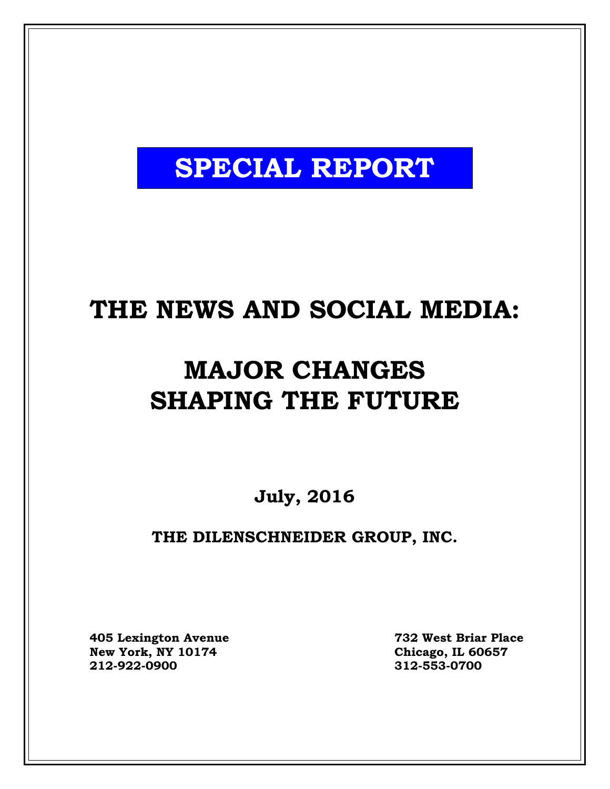# **SPECIAL REPORT**

## **THE NEWS AND SOCIAL MEDIA:**

# **MAJOR CHANGES SHAPING THE FUTURE**

**July, 2016**

## **THE DILENSCHNEIDER GROUP, INC.**

**405 Lexington Avenue 732 West Briar Place**  $New York, NY 10174$ **212-922-0900 312-553-0700**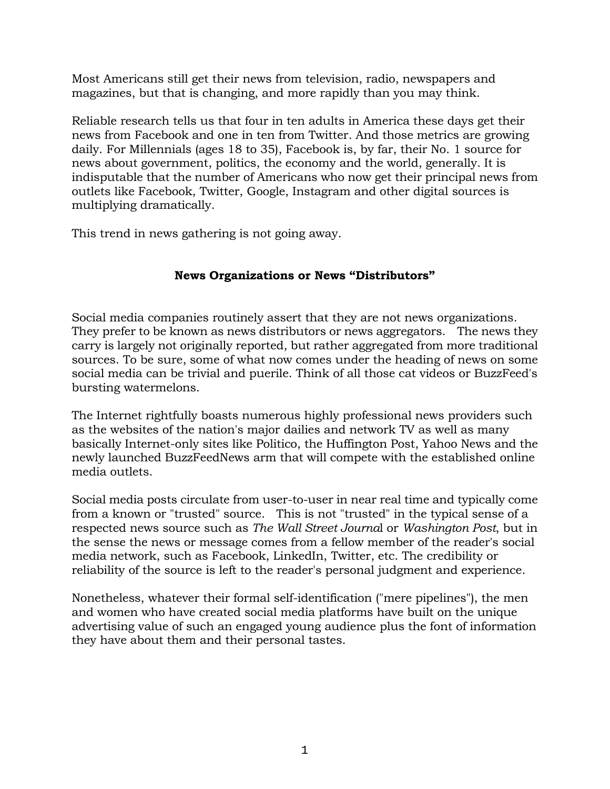Most Americans still get their news from television, radio, newspapers and magazines, but that is changing, and more rapidly than you may think.

Reliable research tells us that four in ten adults in America these days get their news from Facebook and one in ten from Twitter. And those metrics are growing daily. For Millennials (ages 18 to 35), Facebook is, by far, their No. 1 source for news about government, politics, the economy and the world, generally. It is indisputable that the number of Americans who now get their principal news from outlets like Facebook, Twitter, Google, Instagram and other digital sources is multiplying dramatically.

This trend in news gathering is not going away.

### **News Organizations or News "Distributors"**

Social media companies routinely assert that they are not news organizations. They prefer to be known as news distributors or news aggregators. The news they carry is largely not originally reported, but rather aggregated from more traditional sources. To be sure, some of what now comes under the heading of news on some social media can be trivial and puerile. Think of all those cat videos or BuzzFeed's bursting watermelons.

The Internet rightfully boasts numerous highly professional news providers such as the websites of the nation's major dailies and network TV as well as many basically Internet-only sites like Politico, the Huffington Post, Yahoo News and the newly launched BuzzFeedNews arm that will compete with the established online media outlets.

Social media posts circulate from user-to-user in near real time and typically come from a known or "trusted" source. This is not "trusted" in the typical sense of a respected news source such as *The Wall Street Journa*l or *Washington Post*, but in the sense the news or message comes from a fellow member of the reader's social media network, such as Facebook, LinkedIn, Twitter, etc. The credibility or reliability of the source is left to the reader's personal judgment and experience.

Nonetheless, whatever their formal self-identification ("mere pipelines"), the men and women who have created social media platforms have built on the unique advertising value of such an engaged young audience plus the font of information they have about them and their personal tastes.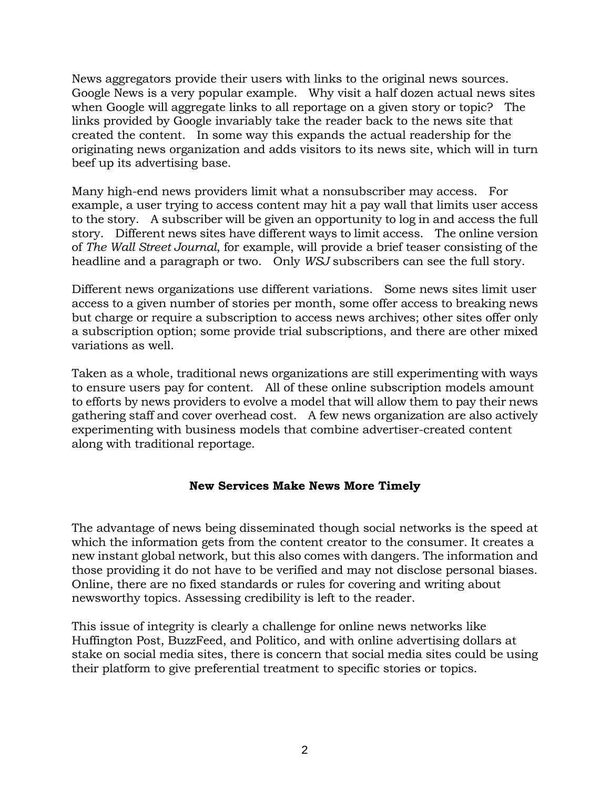News aggregators provide their users with links to the original news sources. Google News is a very popular example. Why visit a half dozen actual news sites when Google will aggregate links to all reportage on a given story or topic? The links provided by Google invariably take the reader back to the news site that created the content. In some way this expands the actual readership for the originating news organization and adds visitors to its news site, which will in turn beef up its advertising base.

Many high-end news providers limit what a nonsubscriber may access. For example, a user trying to access content may hit a pay wall that limits user access to the story. A subscriber will be given an opportunity to log in and access the full story. Different news sites have different ways to limit access. The online version of *The Wall Street Journal*, for example, will provide a brief teaser consisting of the headline and a paragraph or two. Only *WSJ* subscribers can see the full story.

Different news organizations use different variations. Some news sites limit user access to a given number of stories per month, some offer access to breaking news but charge or require a subscription to access news archives; other sites offer only a subscription option; some provide trial subscriptions, and there are other mixed variations as well.

Taken as a whole, traditional news organizations are still experimenting with ways to ensure users pay for content. All of these online subscription models amount to efforts by news providers to evolve a model that will allow them to pay their news gathering staff and cover overhead cost. A few news organization are also actively experimenting with business models that combine advertiser-created content along with traditional reportage.

### **New Services Make News More Timely**

The advantage of news being disseminated though social networks is the speed at which the information gets from the content creator to the consumer. It creates a new instant global network, but this also comes with dangers. The information and those providing it do not have to be verified and may not disclose personal biases. Online, there are no fixed standards or rules for covering and writing about newsworthy topics. Assessing credibility is left to the reader.

This issue of integrity is clearly a challenge for online news networks like Huffington Post, BuzzFeed, and Politico, and with online advertising dollars at stake on social media sites, there is concern that social media sites could be using their platform to give preferential treatment to specific stories or topics.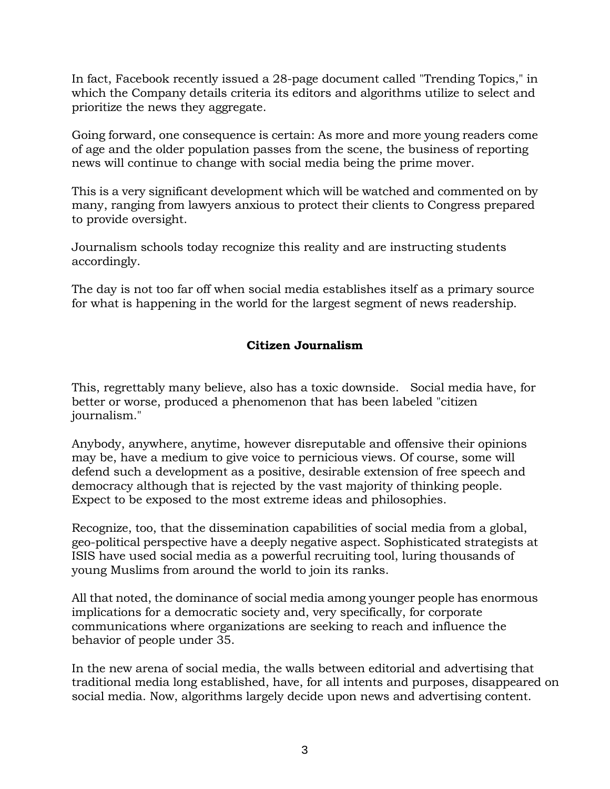In fact, Facebook recently issued a 28-page document called "Trending Topics," in which the Company details criteria its editors and algorithms utilize to select and prioritize the news they aggregate.

Going forward, one consequence is certain: As more and more young readers come of age and the older population passes from the scene, the business of reporting news will continue to change with social media being the prime mover.

This is a very significant development which will be watched and commented on by many, ranging from lawyers anxious to protect their clients to Congress prepared to provide oversight.

Journalism schools today recognize this reality and are instructing students accordingly.

The day is not too far off when social media establishes itself as a primary source for what is happening in the world for the largest segment of news readership.

### **Citizen Journalism**

This, regrettably many believe, also has a toxic downside. Social media have, for better or worse, produced a phenomenon that has been labeled "citizen journalism."

Anybody, anywhere, anytime, however disreputable and offensive their opinions may be, have a medium to give voice to pernicious views. Of course, some will defend such a development as a positive, desirable extension of free speech and democracy although that is rejected by the vast majority of thinking people. Expect to be exposed to the most extreme ideas and philosophies.

Recognize, too, that the dissemination capabilities of social media from a global, geo-political perspective have a deeply negative aspect. Sophisticated strategists at ISIS have used social media as a powerful recruiting tool, luring thousands of young Muslims from around the world to join its ranks.

All that noted, the dominance of social media among younger people has enormous implications for a democratic society and, very specifically, for corporate communications where organizations are seeking to reach and influence the behavior of people under 35.

In the new arena of social media, the walls between editorial and advertising that traditional media long established, have, for all intents and purposes, disappeared on social media. Now, algorithms largely decide upon news and advertising content.